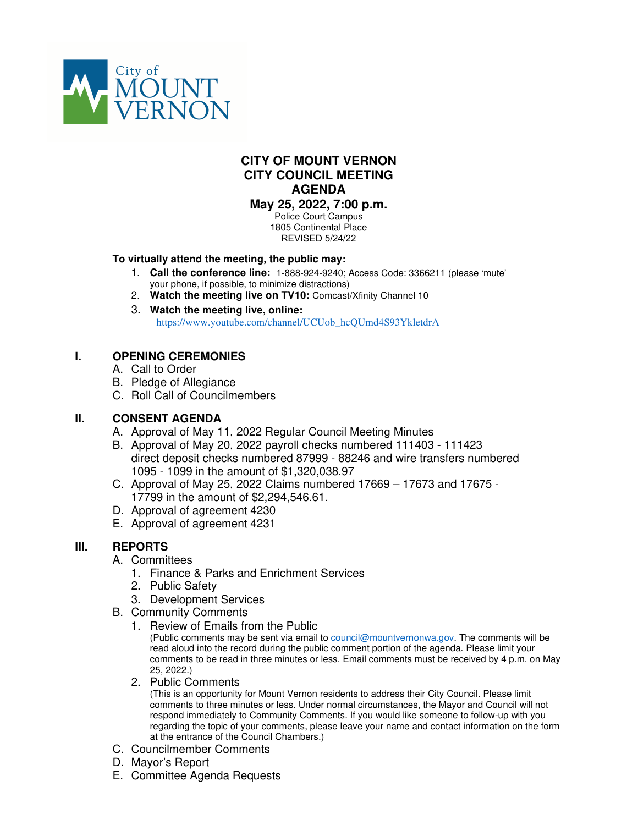

# **CITY OF MOUNT VERNON CITY COUNCIL MEETING AGENDA**

**May 25, 2022, 7:00 p.m.** Police Court Campus 1805 Continental Place

REVISED 5/24/22

### **To virtually attend the meeting, the public may:**

- 1. **Call the conference line:** 1-888-924-9240; Access Code: 3366211 (please 'mute' your phone, if possible, to minimize distractions)
- 2. **Watch the meeting live on TV10:** Comcast/Xfinity Channel 10
- 3. **Watch the meeting live, online:** https://www.youtube.com/channel/UCUob\_hcQUmd4S93YkletdrA

## **I. OPENING CEREMONIES**

- A. Call to Order
- B. Pledge of Allegiance
- C. Roll Call of Councilmembers

## **II. CONSENT AGENDA**

- A. Approval of May 11, 2022 Regular Council Meeting Minutes
- B. Approval of May 20, 2022 payroll checks numbered 111403 111423 direct deposit checks numbered 87999 - 88246 and wire transfers numbered 1095 - 1099 in the amount of \$1,320,038.97
- C. Approval of May 25, 2022 Claims numbered 17669 17673 and 17675 17799 in the amount of \$2,294,546.61.
- D. Approval of agreement 4230
- E. Approval of agreement 4231

## **III. REPORTS**

- A. Committees
	- 1. Finance & Parks and Enrichment Services
	- 2. Public Safety
	- 3. Development Services
- B. Community Comments
	- 1. Review of Emails from the Public

(Public comments may be sent via email to council@mountvernonwa.gov. The comments will be read aloud into the record during the public comment portion of the agenda. Please limit your comments to be read in three minutes or less. Email comments must be received by 4 p.m. on May 25, 2022.)

2. Public Comments

(This is an opportunity for Mount Vernon residents to address their City Council. Please limit comments to three minutes or less. Under normal circumstances, the Mayor and Council will not respond immediately to Community Comments. If you would like someone to follow-up with you regarding the topic of your comments, please leave your name and contact information on the form at the entrance of the Council Chambers.)

- C. Councilmember Comments
- D. Mayor's Report
- E. Committee Agenda Requests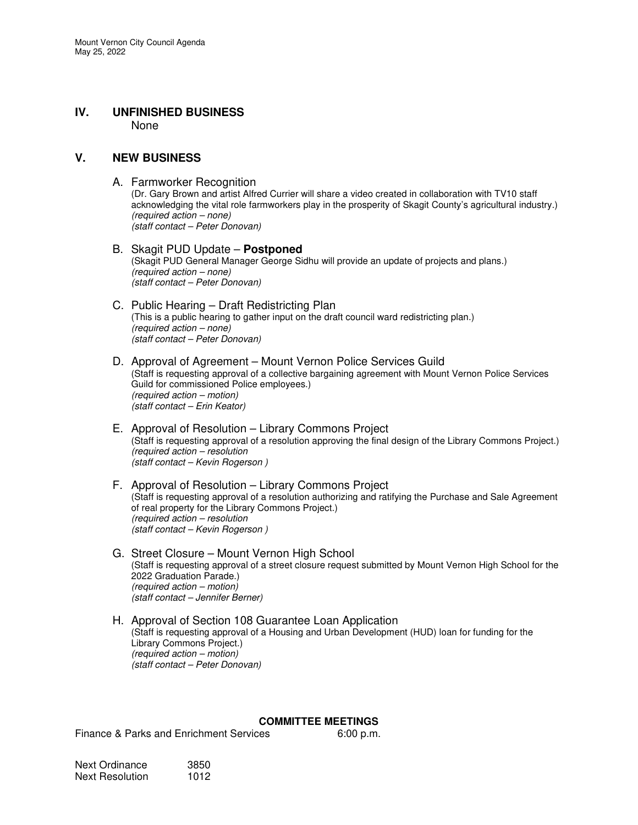#### **IV. UNFINISHED BUSINESS**  None

#### **V. NEW BUSINESS**

#### A. Farmworker Recognition

(Dr. Gary Brown and artist Alfred Currier will share a video created in collaboration with TV10 staff acknowledging the vital role farmworkers play in the prosperity of Skagit County's agricultural industry.) (required action – none) (staff contact – Peter Donovan)

#### B. Skagit PUD Update – **Postponed** (Skagit PUD General Manager George Sidhu will provide an update of projects and plans.) (required action – none) (staff contact – Peter Donovan)

#### C. Public Hearing – Draft Redistricting Plan (This is a public hearing to gather input on the draft council ward redistricting plan.) (required action – none) (staff contact – Peter Donovan)

- D. Approval of Agreement Mount Vernon Police Services Guild (Staff is requesting approval of a collective bargaining agreement with Mount Vernon Police Services Guild for commissioned Police employees.) (required action – motion) (staff contact – Erin Keator)
- E. Approval of Resolution Library Commons Project (Staff is requesting approval of a resolution approving the final design of the Library Commons Project.) (required action – resolution (staff contact – Kevin Rogerson )
- F. Approval of Resolution Library Commons Project (Staff is requesting approval of a resolution authorizing and ratifying the Purchase and Sale Agreement of real property for the Library Commons Project.) (required action – resolution (staff contact – Kevin Rogerson )
- G. Street Closure Mount Vernon High School (Staff is requesting approval of a street closure request submitted by Mount Vernon High School for the 2022 Graduation Parade.) (required action – motion) (staff contact – Jennifer Berner)

#### H. Approval of Section 108 Guarantee Loan Application (Staff is requesting approval of a Housing and Urban Development (HUD) loan for funding for the Library Commons Project.) (required action – motion) (staff contact – Peter Donovan)

#### **COMMITTEE MEETINGS**

Finance & Parks and Enrichment Services 6:00 p.m.

| Next Ordinance  | 3850 |
|-----------------|------|
| Next Resolution | 1012 |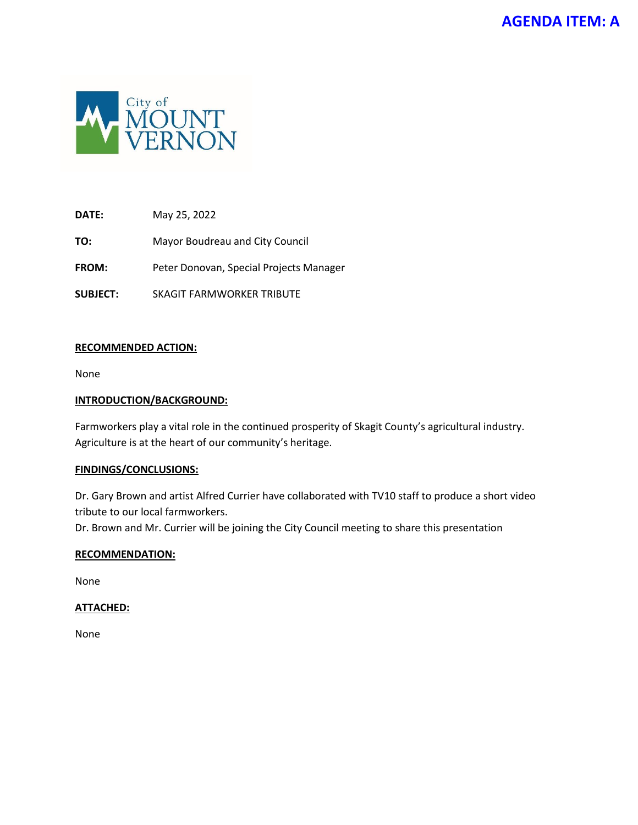

**TO:** Mayor Boudreau and City Council

**FROM:** Peter Donovan, Special Projects Manager

**SUBJECT:** SKAGIT FARMWORKER TRIBUTE

#### **RECOMMENDED ACTION:**

None

#### **INTRODUCTION/BACKGROUND:**

Farmworkers play a vital role in the continued prosperity of Skagit County's agricultural industry. Agriculture is at the heart of our community's heritage.

#### **FINDINGS/CONCLUSIONS:**

Dr. Gary Brown and artist Alfred Currier have collaborated with TV10 staff to produce a short video tribute to our local farmworkers.

Dr. Brown and Mr. Currier will be joining the City Council meeting to share this presentation

#### **RECOMMENDATION:**

None

#### **ATTACHED:**

None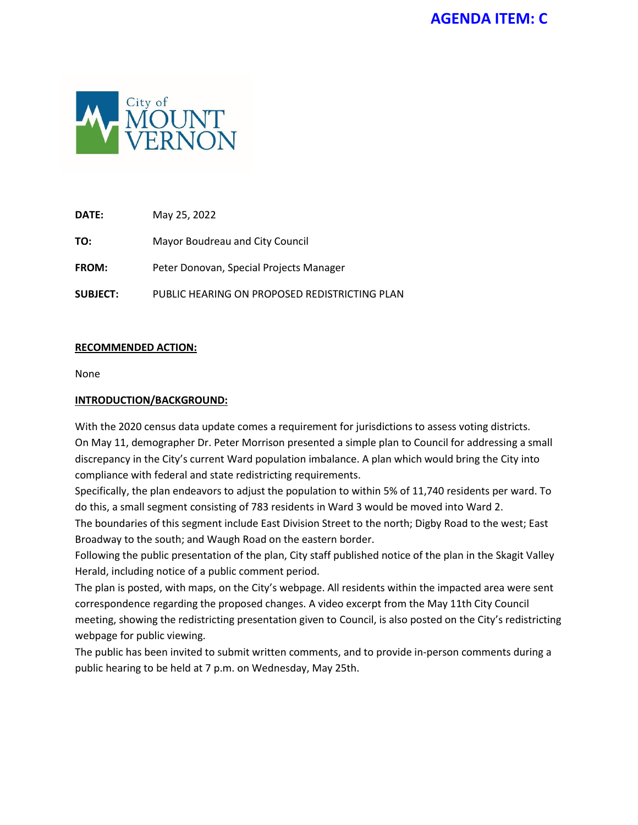

**TO:** Mayor Boudreau and City Council

**FROM:** Peter Donovan, Special Projects Manager

**SUBJECT:** PUBLIC HEARING ON PROPOSED REDISTRICTING PLAN

### **RECOMMENDED ACTION:**

None

#### **INTRODUCTION/BACKGROUND:**

With the 2020 census data update comes a requirement for jurisdictions to assess voting districts. On May 11, demographer Dr. Peter Morrison presented a simple plan to Council for addressing a small discrepancy in the City's current Ward population imbalance. A plan which would bring the City into compliance with federal and state redistricting requirements.

Specifically, the plan endeavors to adjust the population to within 5% of 11,740 residents per ward. To do this, a small segment consisting of 783 residents in Ward 3 would be moved into Ward 2.

The boundaries of this segment include East Division Street to the north; Digby Road to the west; East Broadway to the south; and Waugh Road on the eastern border.

Following the public presentation of the plan, City staff published notice of the plan in the Skagit Valley Herald, including notice of a public comment period.

The plan is posted, with maps, on the City's webpage. All residents within the impacted area were sent correspondence regarding the proposed changes. A video excerpt from the May 11th City Council meeting, showing the redistricting presentation given to Council, is also posted on the City's redistricting webpage for public viewing.

The public has been invited to submit written comments, and to provide in-person comments during a public hearing to be held at 7 p.m. on Wednesday, May 25th.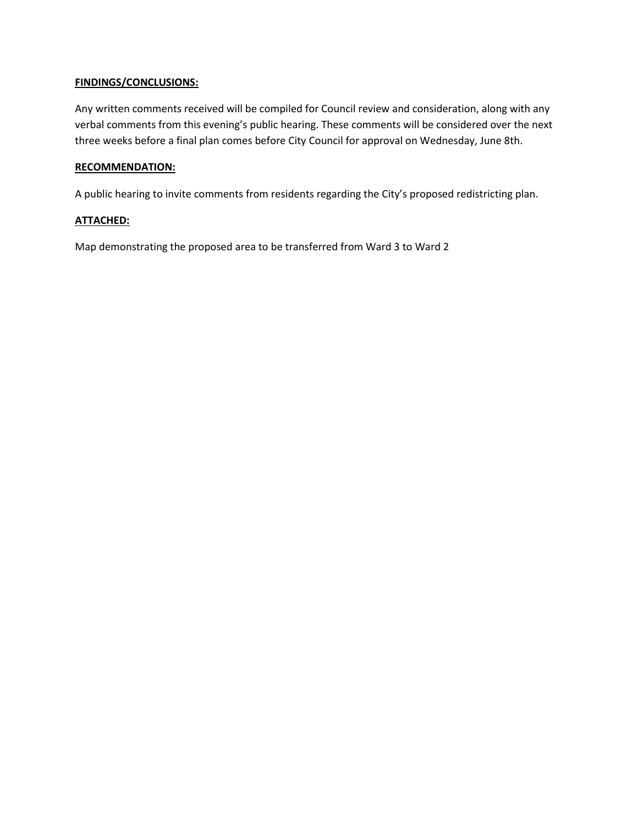#### **FINDINGS/CONCLUSIONS:**

Any written comments received will be compiled for Council review and consideration, along with any verbal comments from this evening's public hearing. These comments will be considered over the next three weeks before a final plan comes before City Council for approval on Wednesday, June 8th.

#### **RECOMMENDATION:**

A public hearing to invite comments from residents regarding the City's proposed redistricting plan.

### **ATTACHED:**

Map demonstrating the proposed area to be transferred from Ward 3 to Ward 2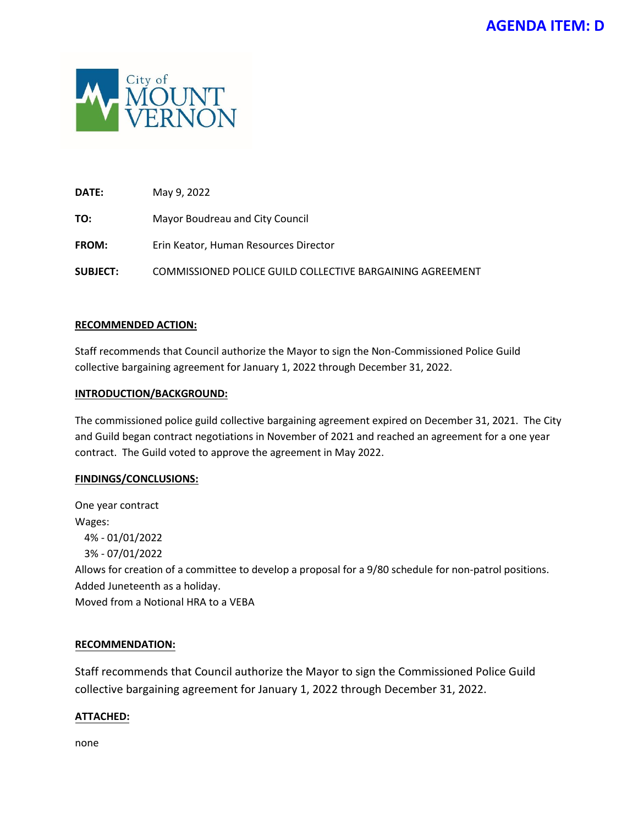

**DATE:** May 9, 2022

**TO:** Mayor Boudreau and City Council

**FROM:** Erin Keator, Human Resources Director

**SUBJECT:** COMMISSIONED POLICE GUILD COLLECTIVE BARGAINING AGREEMENT

#### **RECOMMENDED ACTION:**

Staff recommends that Council authorize the Mayor to sign the Non-Commissioned Police Guild collective bargaining agreement for January 1, 2022 through December 31, 2022.

#### **INTRODUCTION/BACKGROUND:**

The commissioned police guild collective bargaining agreement expired on December 31, 2021. The City and Guild began contract negotiations in November of 2021 and reached an agreement for a one year contract. The Guild voted to approve the agreement in May 2022.

#### **FINDINGS/CONCLUSIONS:**

One year contract Wages: 4% - 01/01/2022 3% - 07/01/2022 Allows for creation of a committee to develop a proposal for a 9/80 schedule for non-patrol positions. Added Juneteenth as a holiday. Moved from a Notional HRA to a VEBA

#### **RECOMMENDATION:**

Staff recommends that Council authorize the Mayor to sign the Commissioned Police Guild collective bargaining agreement for January 1, 2022 through December 31, 2022.

#### **ATTACHED:**

none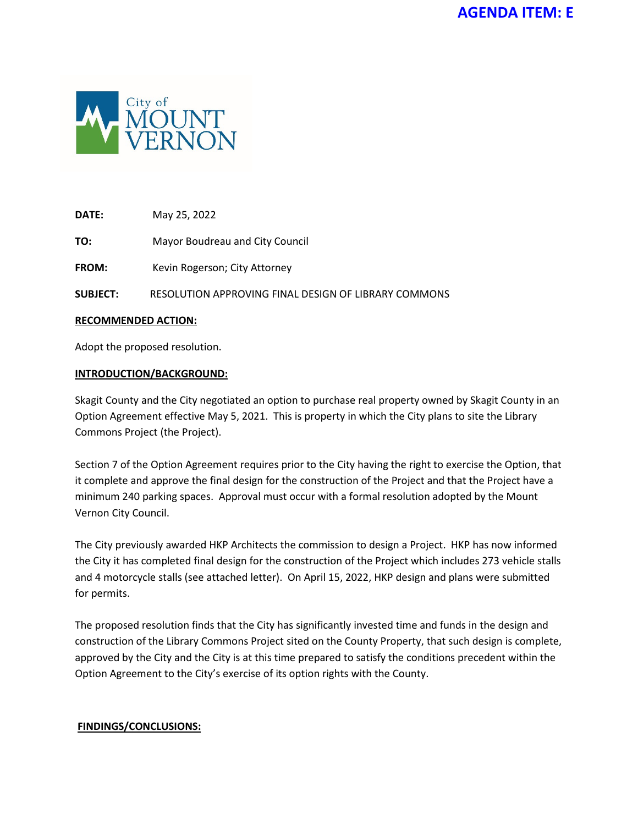

**TO:** Mayor Boudreau and City Council

FROM: Kevin Rogerson; City Attorney

**SUBJECT:** RESOLUTION APPROVING FINAL DESIGN OF LIBRARY COMMONS

#### **RECOMMENDED ACTION:**

Adopt the proposed resolution.

#### **INTRODUCTION/BACKGROUND:**

Skagit County and the City negotiated an option to purchase real property owned by Skagit County in an Option Agreement effective May 5, 2021. This is property in which the City plans to site the Library Commons Project (the Project).

Section 7 of the Option Agreement requires prior to the City having the right to exercise the Option, that it complete and approve the final design for the construction of the Project and that the Project have a minimum 240 parking spaces. Approval must occur with a formal resolution adopted by the Mount Vernon City Council.

The City previously awarded HKP Architects the commission to design a Project. HKP has now informed the City it has completed final design for the construction of the Project which includes 273 vehicle stalls and 4 motorcycle stalls (see attached letter). On April 15, 2022, HKP design and plans were submitted for permits.

The proposed resolution finds that the City has significantly invested time and funds in the design and construction of the Library Commons Project sited on the County Property, that such design is complete, approved by the City and the City is at this time prepared to satisfy the conditions precedent within the Option Agreement to the City's exercise of its option rights with the County.

#### **FINDINGS/CONCLUSIONS:**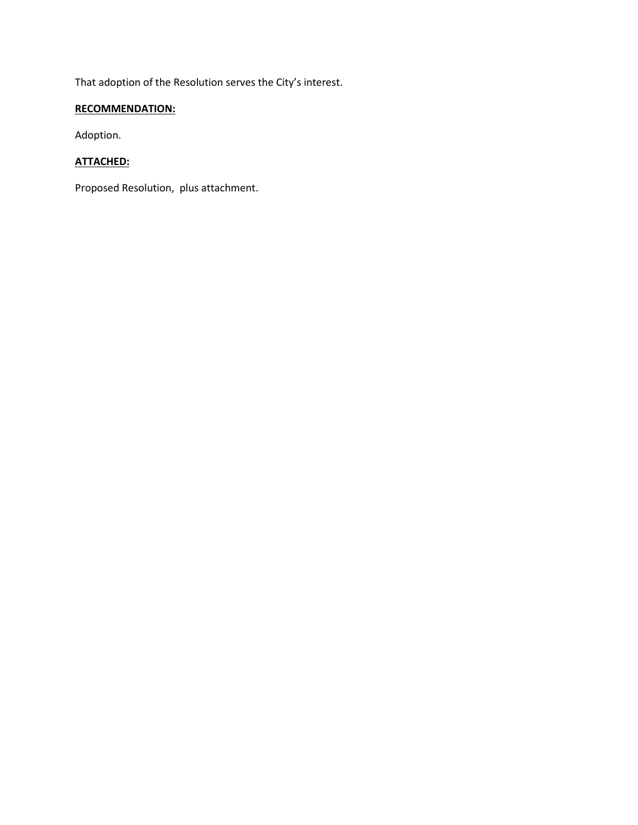That adoption of the Resolution serves the City's interest.

## **RECOMMENDATION:**

Adoption.

## **ATTACHED:**

Proposed Resolution, plus attachment.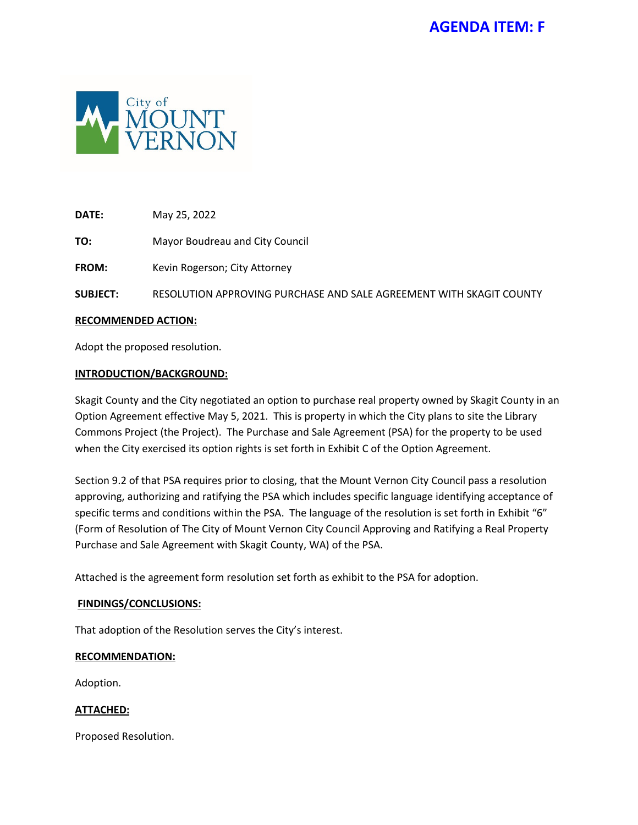

**TO:** Mayor Boudreau and City Council

FROM: Kevin Rogerson; City Attorney

**SUBJECT:** RESOLUTION APPROVING PURCHASE AND SALE AGREEMENT WITH SKAGIT COUNTY

#### **RECOMMENDED ACTION:**

Adopt the proposed resolution.

#### **INTRODUCTION/BACKGROUND:**

Skagit County and the City negotiated an option to purchase real property owned by Skagit County in an Option Agreement effective May 5, 2021. This is property in which the City plans to site the Library Commons Project (the Project). The Purchase and Sale Agreement (PSA) for the property to be used when the City exercised its option rights is set forth in Exhibit C of the Option Agreement.

Section 9.2 of that PSA requires prior to closing, that the Mount Vernon City Council pass a resolution approving, authorizing and ratifying the PSA which includes specific language identifying acceptance of specific terms and conditions within the PSA. The language of the resolution is set forth in Exhibit "6" (Form of Resolution of The City of Mount Vernon City Council Approving and Ratifying a Real Property Purchase and Sale Agreement with Skagit County, WA) of the PSA.

Attached is the agreement form resolution set forth as exhibit to the PSA for adoption.

#### **FINDINGS/CONCLUSIONS:**

That adoption of the Resolution serves the City's interest.

#### **RECOMMENDATION:**

Adoption.

#### **ATTACHED:**

Proposed Resolution.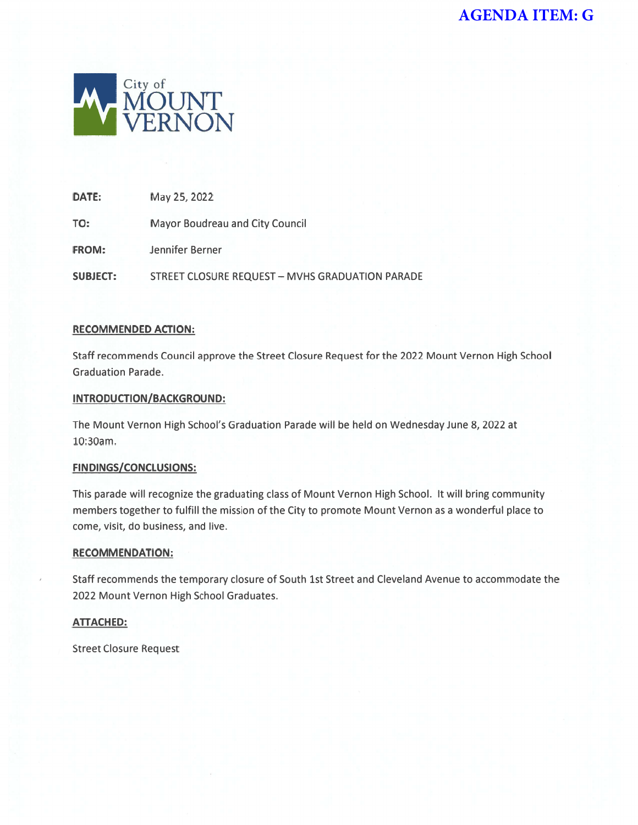

May 25, 2022 DATE:

TO: **Mayor Boudreau and City Council** 

FROM: Jennifer Berner

**SUBJECT: STREET CLOSURE REQUEST - MVHS GRADUATION PARADE** 

### **RECOMMENDED ACTION:**

Staff recommends Council approve the Street Closure Request for the 2022 Mount Vernon High School **Graduation Parade.** 

### **INTRODUCTION/BACKGROUND:**

The Mount Vernon High School's Graduation Parade will be held on Wednesday June 8, 2022 at 10:30am.

### **FINDINGS/CONCLUSIONS:**

This parade will recognize the graduating class of Mount Vernon High School. It will bring community members together to fulfill the mission of the City to promote Mount Vernon as a wonderful place to come, visit, do business, and live.

#### **RECOMMENDATION:**

Staff recommends the temporary closure of South 1st Street and Cleveland Avenue to accommodate the 2022 Mount Vernon High School Graduates.

### **ATTACHED:**

**Street Closure Request**